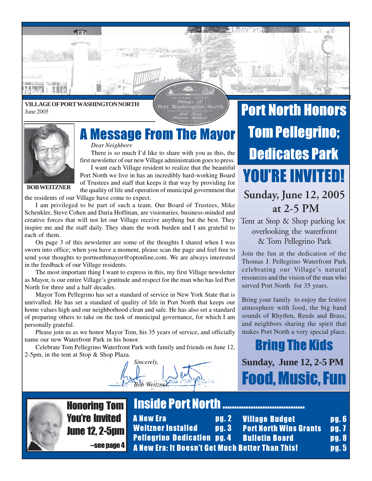### **VILLAGE OF PORT WASHINGTON NORTH** June 2005

TEM

Port Washington North



*Dear Neighbors*

Dear Neighbors<br>There is so much I'd like to share with you as this, the first newsletter of our new Village administration goes to press. I want each Village resident to realize that the beautiful

Port North we live in has an incredibly hard-working Board of Trustees and staff that keeps it that way by providing for the quality of life and operation of municipal government that

**BOB WEITZNER**

the residents of our Village have come to expect.

I am privileged to be part of such a team. Our Board of Trustees, Mike Schenkler, Steve Cohen and Daria Hoffman, are visionaries, business-minded and creative forces that will not let our Village receive anything but the best. They inspire me and the staff daily. They share the work burden and I am grateful to each of them.

On page 3 of this newsletter are some of the thoughts I shared when I was sworn into office; when you have a moment, please scan the page and feel free to send your thoughts to portnorthmayor@optonline.com. We are always interested in the feedback of our Village residents.

The most important thing I want to express in this, my first Village newsletter as Mayor, is our entire Village's gratitude and respect for the man who has led Port North for three and a half decades.

Mayor Tom Pellegrino has set a standard of service in New York State that is unrivalled. He has set a standard of quality of life in Port North that keeps our home values high and our neighborhood clean and safe. He has also set a standard of preparing others to take on the task of municipal governance, for which I am personally grateful.

Please join us as we honor Mayor Tom, his 35 years of service, and officially name our new Waterfront Park in his honor.

Celebrate Tom Pellegrino Waterfront Park with family and friends on June 12, 2-5pm, in the tent at Stop & Shop Plaza.



# Port North Honors Tom Pellegrino; Dedicates Park **Sunday, June 12, 2005 at 2-5 PM** YOU'RE INVITED!

Tent at Stop & Shop parking lot overlooking the waterfront & Tom Pellegrino Park

Join the fun at the dedication of the Thomas J. Pellegrino Waterfront Park celebrating our Village's natural resources and the vision of the man who served Port North for 35 years.

Bring your family to enjoy the festive atmosphere with food, the big band sounds of Rhythm, Reeds and Brass, and neighbors sharing the spirit that makes Port North a very special place.

Bring The Kids **Sunday, June 12, 2-5 PM** Food, Music, Fun



Honoring Tom You're Invited June 12, 2-5pm

--see page 4

A New Era **pg. 2** Weitzner Installed pg. 3 Pellegrino Dedication pg. 4 Village Budget **pg. 6 Port North Wins Grants pg. 7 Bulletin Board Pg. 8** A New Era: It Doesn't Get Much Better Than This! pg. 5

**Inside Port North ................................**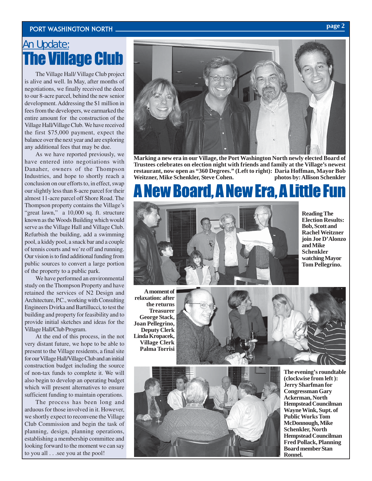### Port Washington North **page 2**

### An Update: **he Village Club**

The Village Hall/ Village Club project is alive and well. In May, after months of negotiations, we finally received the deed to our 8-acre parcel, behind the new senior development. Addressing the \$1 million in fees from the developers, we earmarked the entire amount for the construction of the Village Hall/Village Club. We have received the first \$75,000 payment, expect the balance over the next year and are exploring any additional fees that may be due.

As we have reported previously, we have entered into negotiations with Danaher, owners of the Thompson Industries, and hope to shortly reach a conclusion on our efforts to, in effect, swap our slightly less than 8-acre parcel for their almost 11-acre parcel off Shore Road. The Thompson property contains the Village's "great lawn," a 10,000 sq. ft. structure known as the Woods Building which would serve as the Village Hall and Village Club. Refurbish the building, add a swimming pool, a kiddy pool, a snack bar and a couple of tennis courts and we're off and running. Our vision is to find additional funding from public sources to convert a large portion of the property to a public park.

We have performed an environmental study on the Thompson Property and have retained the services of N2 Design and Architecture, P.C., working with Consulting Engineers Dvirka and Bartillucci, to test the building and property for feasibility and to provide initial sketches and ideas for the Village Hall/Club Program.

At the end of this process, in the not very distant future, we hope to be able to present to the Village residents, a final site for our Village Hall/Village Club and an initial construction budget including the source of non-tax funds to complete it. We will also begin to develop an operating budget which will present alternatives to ensure sufficient funding to maintain operations.

The process has been long and arduous for those involved in it. However, we shortly expect to reconvene the Village Club Commission and begin the task of planning, design, planning operations, establishing a membership committee and looking forward to the moment we can say to you all . . .see you at the pool!



**Marking a new era in our Village, the Port Washington North newly elected Board of Trustees celebrates on election night with friends and family at the Village's newest restaurant, now open as "360 Degrees." (Left to right): Daria Hoffman, Mayor Bob Weitzner, Mike Schenkler, Steve Cohen. photos by: Allison Schenkler**

## New Board, A New Era, A Little Fun



**Reading The Election Results: Bob, Scott and Rachel Weitzner join Joe D'Alonzo and Mike Schenkler watching Mayor Tom Pellegrino.**

**A moment of relaxation: after the returns Treasurer George Stack, Joan Pellegrino, Deputy Clerk Linda Kropacek, Village Clerk Palma Torrisi**





**The evening's roundtable (clockwise from left ): Jerry Sharfman for Congressman Gary Ackerman, North Hempstead Councilman Wayne Wink, Supt. of Public Works Tom McDonnough, Mike Schenkler, North Hempstead Councilman Fred Pollack, Planning Board member Stan Ronnel.**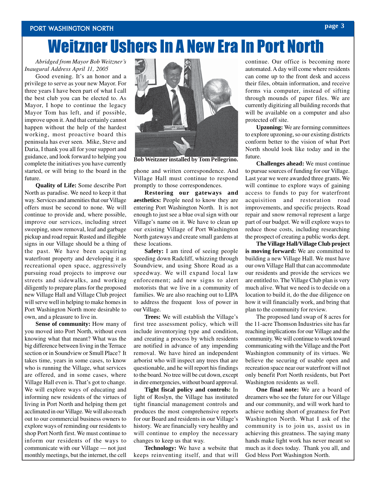### Port Washington North

# Weitzner Ushers In A New Era In Port North

### *Abridged from Mayor Bob Weitzner's Inaugural Address April 11, 2005*

Good evening. It's an honor and a privilege to serve as your new Mayor. For three years I have been part of what I call the best club you can be elected to. As Mayor, I hope to continue the legacy Mayor Tom has left, and if possible, improve upon it. And that certainly cannot happen without the help of the hardest working, most proactive board this peninsula has ever seen. Mike, Steve and Daria, I thank you all for your support and guidance, and look forward to helping you complete the initiatives you have currently started, or will bring to the board in the future.

**Quality of Life:** Some describe Port North as paradise. We need to keep it that way. Services and amenities that our Village offers must be second to none. We will continue to provide and, where possible, improve our services, including street sweeping, snow removal, leaf and garbage pickup and road repair. Rusted and illegible signs in our Village should be a thing of the past. We have been acquiring waterfront property and developing it as recreational open space, aggressively pursuing road projects to improve our streets and sidewalks, and working diligently to prepare plans for the proposed new Village Hall and Village Club project will serve well in helping to make homes in Port Washington North more desirable to own, and a pleasure to live in.

**Sense of community:** How many of you moved into Port North, without even knowing what that meant? What was the big difference between living in the Terrace section or in Soundview or Smull Place? It takes time, years in some cases, to know who is running the Village, what services are offered, and in some cases, where Village Hall even is. That's got to change. We will explore ways of educating and informing new residents of the virtues of living in Port North and helping them get acclimated in our Village. We will also reach out to our commercial business owners to explore ways of reminding our residents to shop Port North first. We must continue to inform our residents of the ways to communicate with our Village — not just monthly meetings, but the internet, the cell



**Bob Weitzner installed by Tom Pellegrino.**

phone and written correspondence. And Village Hall must continue to respond promptly to those correspondences.

**Restoring our gateways and aesthetics:** People need to know they are entering Port Washington North. It is not enough to just see a blue oval sign with our Village's name on it. We have to clean up our existing Village of Port Washington North gateways and create small gardens at these locations.

**Safety:** I am tired of seeing people speeding down Radcliff, whizzing through Soundview, and using Shore Road as a speedway. We will expand local law enforcement; add new signs to alert motorists that we live in a community of families. We are also reaching out to LIPA to address the frequent loss of power in our Village.

**Trees:** We will establish the Village's first tree assessment policy, which will include inventorying type and condition, and creating a process by which residents are notified in advance of any impending removal. We have hired an independent arborist who will inspect any trees that are questionable, and he will report his findings to the board. No tree will be cut down, except in dire emergencies, without board approval.

**Tight fiscal policy and controls:** In light of Roslyn, the Village has instituted tight financial management controls and produces the most comprehensive reports for our Board and residents in our Village's history. We are financially very healthy and will continue to employ the necessary changes to keep us that way.

**Technology:** We have a website that keeps reinventing itself, and that will continue. Our office is becoming more automated. A day will come where residents can come up to the front desk and access their files, obtain information, and receive forms via computer, instead of sifting through mounds of paper files. We are currently digitizing all building records that will be available on a computer and also protected off site.

**Upzoning:** We are forming committees to explore upzoning, so our existing districts conform better to the vision of what Port North should look like today and in the future.

**Challenges ahead:** We must continue to pursue sources of funding for our Village. Last year we were awarded three grants. We will continue to explore ways of gaining access to funds to pay for waterfront acquisition and restoration road improvements, and specific projects. Road repair and snow removal represent a large part of our budget. We will explore ways to reduce those costs, including researching the prospect of creating a public works dept.

**The Village Hall/Village Club project is moving forward:** We are committed to building a new Village Hall. We must have our own Village Hall that can accommodate our residents and provide the services we are entitled to. The Village Club plan is very much alive. What we need is to decide on a location to build it, do the due diligence on how it will financially work, and bring that plan to the community for review.

The proposed land swap of 8 acres for the 11-acre Thomson Industries site has far reaching implications for our Village and the community. We will continue to work toward communicating with the Village and the Port Washington community of its virtues. We believe the securing of usable open and recreation space near our waterfront will not only benefit Port North residents, but Port Washington residents as well.

**One final note:** We are a board of dreamers who see the future for our Village and our community, and will work hard to achieve nothing short of greatness for Port Washington North. What I ask of the community is to join us, assist us in achieving this greatness. The saying many hands make light work has never meant so much as it does today. Thank you all, and God bless Port Washington North.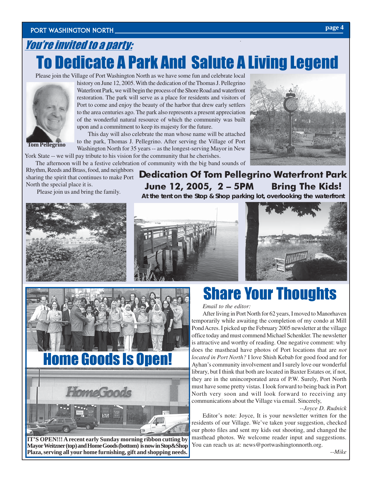## You're invited to a party: To Dedicate A Park And Salute A Living Legend

Please join the Village of Port Washington North as we have some fun and celebrate local



**Tom Pellegrino**

history on June 12, 2005. With the dedication of the Thomas J. Pellegrino Waterfront Park, we will begin the process of the Shore Road and waterfront restoration. The park will serve as a place for residents and visitors of Port to come and enjoy the beauty of the harbor that drew early settlers to the area centuries ago. The park also represents a present appreciation of the wonderful natural resource of which the community was built upon and a commitment to keep its majesty for the future.

This day will also celebrate the man whose name will be attached to the park, Thomas J. Pellegrino. After serving the Village of Port Washington North for 35 years -- as the longest-serving Mayor in New York State -- we will pay tribute to his vision for the community that he cherishes.

The afternoon will be a festive celebration of community with the big band sounds of

Rhythm, Reeds and Brass, food, and neighbors sharing the spirit that continues to make Port North the special place it is.

Please join us and bring the family.

**D**edication Of Tom Pellegrino Waterfront Park June 12, 2005, 2 – 5PM Bring The Kids! **At the tent on the Stop & Shop parking lot, overlooking the waterfront**







#### *Email to the editor:*

Email to the editor:<br>After living in Port North for 62 years, I moved to Manorhaven temporarily while awaiting the completion of my condo at Mill Pond Acres. I picked up the February 2005 newsletter at the village office today and must commend Michael Schenkler. The newsletter is attractive and worthy of reading. One negative comment: why does the masthead have photos of Port locations that are *not located in Port North?* I love Shish Kebab for good food and for Ayhan's community involvement and I surely love our wonderful library, but I think that both are located in Baxter Estates or, if not, they are in the unincorporated area of P.W. Surely, Port North must have some pretty vistas. I look forward to being back in Port North very soon and will look forward to receiving any communications about the Village via email. Sincerely,

#### *--Joyce D. Rudnick*

Editor's note: Joyce, It is your newsletter written for the residents of our Village. We've taken your suggestion, checked our photo files and sent my kids out shooting, and changed the masthead photos. We welcome reader input and suggestions. You can reach us at: news@portwashingtonnorth.org.

**IT'S OPEN!!! A recent early Sunday morning ribbon cutting by Mayor Weitzner (top) and Home Goods (bottom) is now in Stop&Shop Plaza, serving all your home furnishing, gift and shopping needs.**

 $\Box$ 

Home Goods Is Open!

HomeGoods

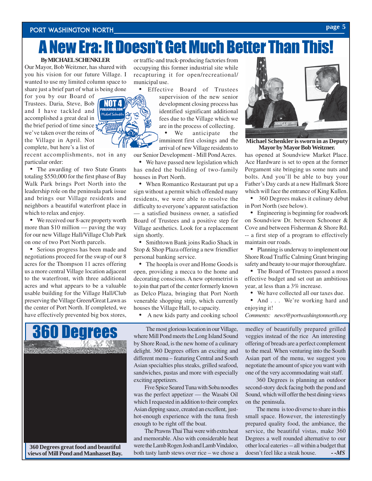### Port Washington North **page 5**

#### **By MICHAEL SCHENKLER**

Our Mayor, Bob Weitzner, has shared with you his vision for our future Village. I wanted to use my limited column space to share just a brief part of what is being done

NOT 4

for you by our Board of Trustees. Daria, Steve, Bob and I have tackled and accomplished a great deal in the brief period of time since  $\boldsymbol{\xi}$ we've taken over the reins of the Village in April. Not complete, but here's a list of

recent accomplishments, not in any particular order:

• The awarding of two State Grants totaling \$550,000 for the first phase of Bay Walk Park brings Port North into the leadership role on the peninsula park issue and brings our Village residents and neighbors a beautiful waterfront place in which to relax and enjoy.

• We received our 8-acre property worth more than \$10 million — paving the way for our new Village Hall/Village Club Park on one of two Port North parcels.

Serious progress has been made and negotiations proceed for the swap of our 8 acres for the Thompson 11 acres offering us a more central Village location adjacent to the waterfront, with three additional acres and what appears to be a valuable usable building for the Village Hall/Club preserving the Village Green/Great Lawn as the center of Port North. If completed, we have effectively prevented big box stores,

By MICHAEL SCHENKLER or traffic-and truck-producing factories from  $\star$ <sup>3</sup> and Much Better Than This former industrial site while occupying this former industrial site while recapturing it for open/recreational/ municipal use.

• Effective Board of Trustees

supervision of the new senior development closing process has identified significant additional fees due to the Village which we are in the process of collecting.

We anticipate the imminent first closings and the arrival of new Village residents to

our Senior Development - Mill Pond Acres.

• We have passed new legislation which has ended the building of two-family houses in Port North.

• When Romantico Restaurant put up a sign without a permit which offended many residents, we were able to resolve the difficulty to everyone's apparent satisfaction — a satisfied business owner, a satisfied Board of Trustees and a positive step for Village aesthetics. Look for a replacement sign shortly.

• Smithtown Bank joins Radio Shack in Stop & Shop Plaza offering a new friendlier personal banking service.

• The hoopla is over and Home Goods is open, providing a mecca to the home and decorating conscious. A new optometrist is to join that part of the center formerly known as Delco Plaza, bringing that Port North venerable shopping strip, which currently houses the Village Hall, to capacity.

• A new kids party and cooking school



 The most glorious location in our Village, where Mill Pond meets the Long Island Sound by Shore Road, is the new home of a culinary delight. 360 Degrees offers an exciting and different menu – featuring Central and South Asian specialties plus steaks, grilled seafood, sandwiches, pastas and more with especially exciting appetizers.

Five Spice Seared Tuna with Soba noodles was the perfect appetizer — the Wasabi Oil which I requested in addition to their complex Asian dipping sauce, created an excellent, justhot-enough experience with the tuna fresh enough to be right off the boat.

The Prawns Thai Thai were with extra heat and memorable. Also with considerable heat were the Lamb Rogen Josh and Lamb Vindaloo, both tasty lamb stews over rice – we chose a



**Michael Schenkler is sworn in as Deputy Mayor by Mayor Bob Weitzner.**

has opened at Soundview Market Place. Ace Hardware is set to open at the former Pergament site bringing us some nuts and bolts. And you'll be able to buy your Father's Day cards at a new Hallmark Store which will face the entrance of King Kullen.

• 360 Degrees makes it culinary debut in Port North (see below).

• Engineering is beginning for roadwork on Soundview Dr. between Schooner & Cove and between Fisherman & Shore Rd. -- a first step of a program to effectively maintain our roads.

• Planning is underway to implement our Shore Road Traffic Calming Grant bringing safety and beauty to our major thoroughfare.

• The Board of Trustees passed a most effective budget and set out an ambitious year, at less than a 3% increase.

• We have collected all our taxes due.

• And . . . We're working hard and enjoying it!

*Comments: news@portwashingtonnorth.org*

medley of beautifully prepared grilled veggies instead of the rice An interesting offering of breads are a perfect complement to the meal. When venturing into the South Asian part of the menu, we suggest you negotiate the amount of spice you want with one of the very accommodating wait staff.

360 Degrees is planning an outdoor second-story deck facing both the pond and Sound, which will offer the best dining views on the peninsula.

The menu is too diverse to share in this small space. However, the interestingly prepared quality food, the ambiance, the service, the beautiful vistas, make 360 Degrees a well rounded alternative to our other local eateries -- all within a budget that doesn't feel like a steak house. **--MS**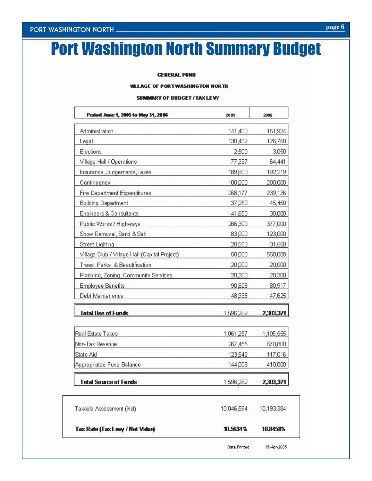# Port Washington North Summary Budget

#### **GENERAL FUND**

#### **WILLAGE OF PORTWASHINGTON NORTH**

#### SUMMARY OF BUDGET / TAX LEVY

| 141,400<br>130,432<br>2,500 | 151,934<br>126,750 |
|-----------------------------|--------------------|
|                             |                    |
|                             |                    |
|                             | 3,050              |
| 77,337                      | 64,441             |
| 189,600                     | 192,219            |
| 100,000                     | 200,000            |
| 268,177                     | 239,136            |
| 37,250                      | 45,450             |
| 41,650                      | 30,000             |
| 266,300                     | 377,000            |
| 83,000                      | 123,000            |
| 28,550                      | 31,550             |
| 50,000                      | 550,000            |
| 20,000                      | 20,000             |
| 20,300                      | 20,300             |
| 90,828                      | 80,917             |
| 48,938                      | 47,625             |
| 1,596,262                   | 2,303,371          |
| 1,061,257                   | 1,105,555          |
| 267,455                     | 670,800            |
| 123,542                     | 117,016            |
| 144,008                     | 410,000            |
| 1,596,262                   | 2,303,371          |
|                             |                    |

| Taxable Assessment (Net)        | 10 046 594 | 10,193,384 |  |
|---------------------------------|------------|------------|--|
| Tax Rate (Tax Levy / Net Value) | 10.5634%   | 10.8458%   |  |

15-Apr-2005 Date Printed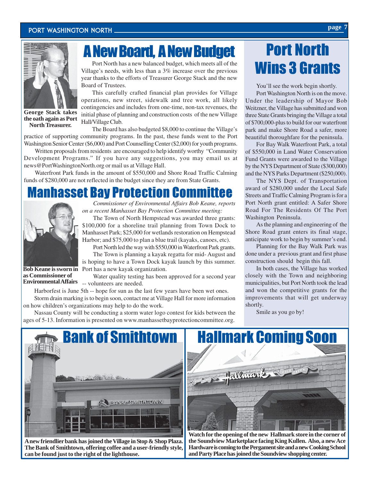

**George Stack takes the oath again as Port North Treasurer.**

## A New Board, A New Budget

Port North has a new balanced budget, which meets all of the Village's needs, with less than a 3% increase over the previous year thanks to the efforts of Treasurer George Stack and the new Board of Trustees.

This carefully crafted financial plan provides for Village operations, new street, sidewalk and tree work, all likely contingencies and includes from one-time, non-tax revenues, the initial phase of planning and construction costs of the new Village Hall/Village Club.

The Board has also budgeted \$8,000 to continue the Village's practice of supporting community programs. In the past, these funds went to the Port Washington Senior Center (\$6,000) and Port Counselling Center (\$2,000) for youth programs.

Written proposals from residents are encouraged to help identify worthy "Community Development Programs." If you have any suggestions, you may email us at news@PortWashingtonNorth.org or mail us at Village Hall.

Waterfront Park funds in the amount of \$550,000 and Shore Road Traffic Calming funds of \$280,000 are not reflected in the budget since they are from State Grants.

### Manhasset Bay Protection Committee



*Commissioner of Environmental Affairs Bob Keane, reports on a recent Manhasset Bay Protection Committee meeting:*

The Town of North Hempstead was awarded three grants: \$100,000 for a shoreline trail planning from Town Dock to Manhasset Park; \$25,000 for wetlands restoration on Hempstead Harbor; and \$75,000 to plan a blue trail (kayaks, canoes, etc).

Port North led the way with \$550,000 in Waterfront Park grants. The Town is planning a kayak regatta for mid- August and is hoping to have a Town Dock kayak launch by this summer. Port has a new kayak organization.

**Bob Keane is sworn in as Commissioner of Environmental Affairs**

Water quality testing has been approved for a second year -- volunteers are needed.

Harborfest is June 5th -- hope for sun as the last few years have been wet ones. Storm drain marking is to begin soon, contact me at Village Hall for more information on how children's organizations may help to do the work.

Nassau County will be conducting a storm water logo contest for kids between the ages of 5-13. Information is presented on www.manhassetbayprotectioncommittee.org.

# Port North Wins 3 Grants

You'll see the work begin shortly.

Port Washington North is on the move. Under the leadership of Mayor Bob Weitzner, the Village has submitted and won three State Grants bringing the Village a total of \$700,000-plus to build for our waterfront park and make Shore Road a safer, more beautiful thoroughfare for the peninsula.

For Bay Walk Waterfront Park, a total of \$550,000 in Land Water Conservation Fund Grants were awarded to the Village by the NYS Department of State (\$300,000) and the NYS Parks Department (\$250,000).

The NYS Dept. of Transportation award of \$280,000 under the Local Safe Streets and Traffic Calming Program is for a Port North grant entitled: A Safer Shore Road For The Residents Of The Port Washington Peninsula.

As the planning and engineering of the Shore Road grant enters its final stage, anticipate work to begin by summer's end.

Planning for the Bay Walk Park was done under a previous grant and first phase construction should begin this fall.

In both cases, the Village has worked closely with the Town and neighboring municipalities, but Port North took the lead and won the competitive grants for the improvements that will get underway shortly.

Smile as you go by!



**A new friendlier bank has joined the Village in Stop & Shop Plaza. The Bank of Smithtown, offering coffee and a user-friendly style, can be found just to the right of the lighthouse.**



**Watch for the opening of the new Hallmark store in the corner of the Soundview Marketplace facing King Kullen. Also, a new Ace Hardware is coming to the Pergament site and a new Cooking School and Party Place has joined the Soundview shopping center.**